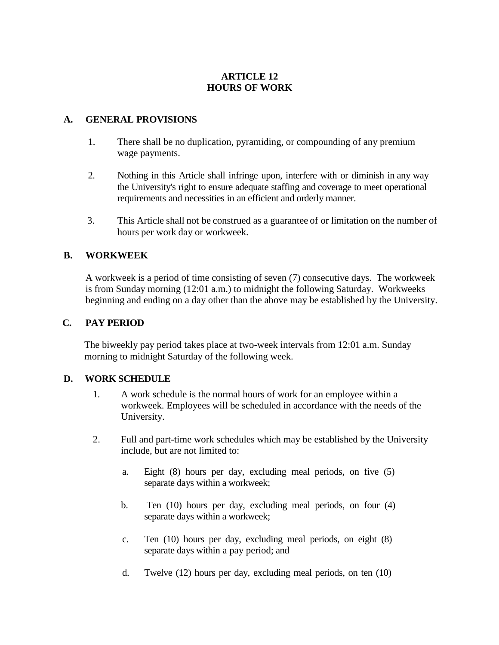# **ARTICLE 12 HOURS OF WORK**

#### **A. GENERAL PROVISIONS**

- 1. There shall be no duplication, pyramiding, or compounding of any premium wage payments.
- 2. Nothing in this Article shall infringe upon, interfere with or diminish in any way the University's right to ensure adequate staffing and coverage to meet operational requirements and necessities in an efficient and orderly manner.
- 3. This Article shall not be construed as a guarantee of or limitation on the number of hours per work day or workweek.

### **B. WORKWEEK**

A workweek is a period of time consisting of seven (7) consecutive days. The workweek is from Sunday morning (12:01 a.m.) to midnight the following Saturday. Workweeks beginning and ending on a day other than the above may be established by the University.

#### **C. PAY PERIOD**

The biweekly pay period takes place at two-week intervals from 12:01 a.m. Sunday morning to midnight Saturday of the following week.

#### **D. WORK SCHEDULE**

- 1. A work schedule is the normal hours of work for an employee within a workweek. Employees will be scheduled in accordance with the needs of the University.
- 2. Full and part-time work schedules which may be established by the University include, but are not limited to:
	- a. Eight (8) hours per day, excluding meal periods, on five (5) separate days within a workweek;
	- b. Ten (10) hours per day, excluding meal periods, on four (4) separate days within a workweek;
	- c. Ten (10) hours per day, excluding meal periods, on eight (8) separate days within a pay period; and
	- d. Twelve (12) hours per day, excluding meal periods, on ten (10)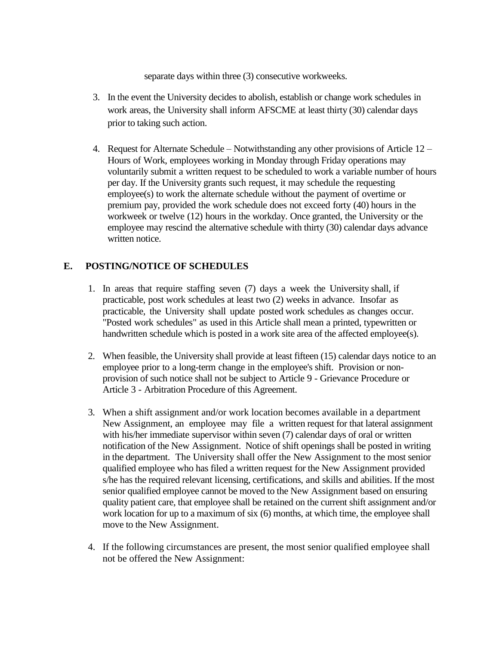separate days within three (3) consecutive workweeks.

- 3. In the event the University decides to abolish, establish or change work schedules in work areas, the University shall inform AFSCME at least thirty (30) calendar days prior to taking such action.
- 4. Request for Alternate Schedule Notwithstanding any other provisions of Article 12 Hours of Work, employees working in Monday through Friday operations may voluntarily submit a written request to be scheduled to work a variable number of hours per day. If the University grants such request, it may schedule the requesting employee(s) to work the alternate schedule without the payment of overtime or premium pay, provided the work schedule does not exceed forty (40) hours in the workweek or twelve (12) hours in the workday. Once granted, the University or the employee may rescind the alternative schedule with thirty (30) calendar days advance written notice.

### **E. POSTING/NOTICE OF SCHEDULES**

- 1. In areas that require staffing seven (7) days a week the University shall, if practicable, post work schedules at least two (2) weeks in advance. Insofar as practicable, the University shall update posted work schedules as changes occur. "Posted work schedules" as used in this Article shall mean a printed, typewritten or handwritten schedule which is posted in a work site area of the affected employee(s).
- 2. When feasible, the University shall provide at least fifteen (15) calendar days notice to an employee prior to a long-term change in the employee's shift. Provision or nonprovision of such notice shall not be subject to Article 9 - Grievance Procedure or Article 3 - Arbitration Procedure of this Agreement.
- 3. When a shift assignment and/or work location becomes available in a department New Assignment, an employee may file a written request for that lateral assignment with his/her immediate supervisor within seven (7) calendar days of oral or written notification of the New Assignment. Notice of shift openings shall be posted in writing in the department. The University shall offer the New Assignment to the most senior qualified employee who has filed a written request for the New Assignment provided s/he has the required relevant licensing, certifications, and skills and abilities. If the most senior qualified employee cannot be moved to the New Assignment based on ensuring quality patient care, that employee shall be retained on the current shift assignment and/or work location for up to a maximum of six  $(6)$  months, at which time, the employee shall move to the New Assignment.
- 4. If the following circumstances are present, the most senior qualified employee shall not be offered the New Assignment: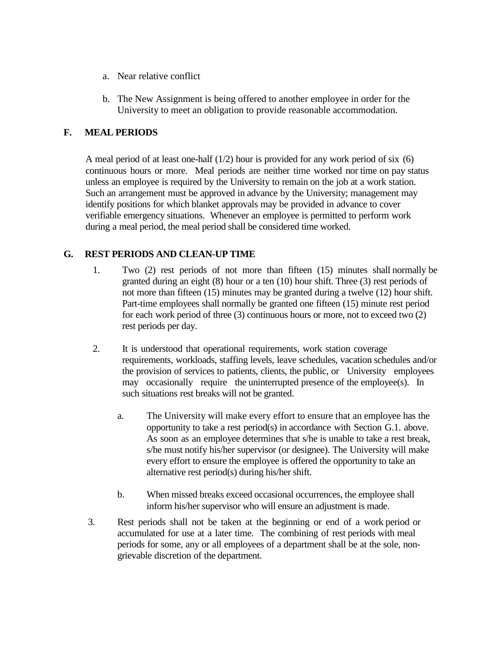- a. Near relative conflict
- b. The New Assignment is being offered to another employee in order for the University to meet an obligation to provide reasonable accommodation.

# **F. MEAL PERIODS**

A meal period of at least one-half  $(1/2)$  hour is provided for any work period of six  $(6)$ continuous hours or more. Meal periods are neither time worked nor time on pay status unless an employee is required by the University to remain on the job at a work station. Such an arrangement must be approved in advance by the University; management may identify positions for which blanket approvals may be provided in advance to cover verifiable emergency situations. Whenever an employee is permitted to perform work during a meal period, the meal period shall be considered time worked.

# **G. REST PERIODS AND CLEAN-UP TIME**

- 1. Two (2) rest periods of not more than fifteen (15) minutes shall normally be granted during an eight (8) hour or a ten (10) hour shift. Three (3) rest periods of not more than fifteen (15) minutes may be granted during a twelve (12) hour shift. Part-time employees shall normally be granted one fifteen (15) minute rest period for each work period of three (3) continuous hours or more, not to exceed two (2) rest periods per day.
- 2. It is understood that operational requirements, work station coverage requirements, workloads, staffing levels, leave schedules, vacation schedules and/or the provision of services to patients, clients, the public, or University employees may occasionally require the uninterrupted presence of the employee(s). In such situations rest breaks will not be granted.
	- a. The University will make every effort to ensure that an employee has the opportunity to take a rest period(s) in accordance with Section G.1. above. As soon as an employee determines that s/he is unable to take a rest break, s/he must notify his/her supervisor (or designee). The University will make every effort to ensure the employee is offered the opportunity to take an alternative rest period(s) during his/her shift.
	- b. When missed breaks exceed occasional occurrences, the employee shall inform his/her supervisor who will ensure an adjustment is made.
- 3. Rest periods shall not be taken at the beginning or end of a work period or accumulated for use at a later time. The combining of rest periods with meal periods for some, any or all employees of a department shall be at the sole, nongrievable discretion of the department.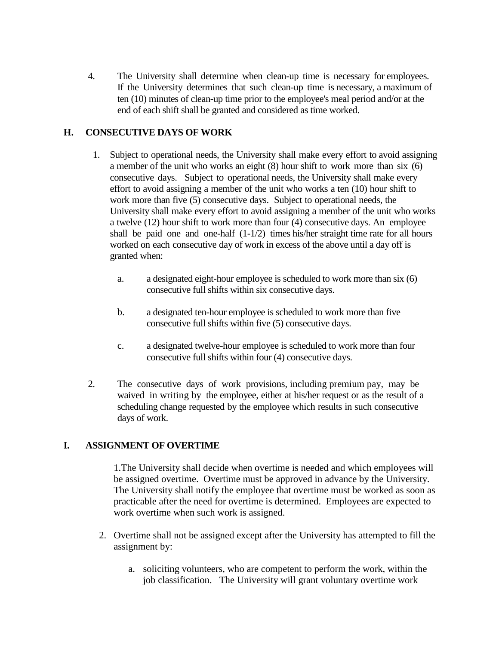4. The University shall determine when clean-up time is necessary for employees. If the University determines that such clean-up time is necessary, a maximum of ten (10) minutes of clean-up time prior to the employee's meal period and/or at the end of each shift shall be granted and considered as time worked.

# **H. CONSECUTIVE DAYS OF WORK**

- 1. Subject to operational needs, the University shall make every effort to avoid assigning a member of the unit who works an eight (8) hour shift to work more than six (6) consecutive days. Subject to operational needs, the University shall make every effort to avoid assigning a member of the unit who works a ten (10) hour shift to work more than five (5) consecutive days. Subject to operational needs, the University shall make every effort to avoid assigning a member of the unit who works a twelve (12) hour shift to work more than four (4) consecutive days. An employee shall be paid one and one-half  $(1-1/2)$  times his/her straight time rate for all hours worked on each consecutive day of work in excess of the above until a day off is granted when:
	- a. a designated eight-hour employee is scheduled to work more than six (6) consecutive full shifts within six consecutive days.
	- b. a designated ten-hour employee is scheduled to work more than five consecutive full shifts within five (5) consecutive days.
	- c. a designated twelve-hour employee is scheduled to work more than four consecutive full shifts within four (4) consecutive days.
- 2. The consecutive days of work provisions, including premium pay, may be waived in writing by the employee, either at his/her request or as the result of a scheduling change requested by the employee which results in such consecutive days of work.

### **I. ASSIGNMENT OF OVERTIME**

1.The University shall decide when overtime is needed and which employees will be assigned overtime. Overtime must be approved in advance by the University. The University shall notify the employee that overtime must be worked as soon as practicable after the need for overtime is determined. Employees are expected to work overtime when such work is assigned.

- 2. Overtime shall not be assigned except after the University has attempted to fill the assignment by:
	- a. soliciting volunteers, who are competent to perform the work, within the job classification. The University will grant voluntary overtime work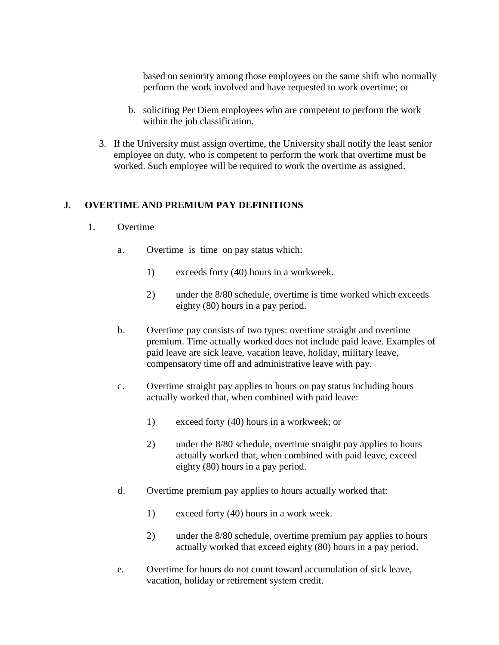based on seniority among those employees on the same shift who normally perform the work involved and have requested to work overtime; or

- b. soliciting Per Diem employees who are competent to perform the work within the job classification.
- 3. If the University must assign overtime, the University shall notify the least senior employee on duty, who is competent to perform the work that overtime must be worked. Such employee will be required to work the overtime as assigned.

#### **J. OVERTIME AND PREMIUM PAY DEFINITIONS**

- 1. Overtime
	- a. Overtime is time on pay status which:
		- 1) exceeds forty (40) hours in a workweek.
		- 2) under the 8/80 schedule, overtime is time worked which exceeds eighty (80) hours in a pay period.
	- b. Overtime pay consists of two types: overtime straight and overtime premium. Time actually worked does not include paid leave. Examples of paid leave are sick leave, vacation leave, holiday, military leave, compensatory time off and administrative leave with pay.
	- c. Overtime straight pay applies to hours on pay status including hours actually worked that, when combined with paid leave:
		- 1) exceed forty (40) hours in a workweek; or
		- 2) under the 8/80 schedule, overtime straight pay applies to hours actually worked that, when combined with paid leave, exceed eighty (80) hours in a pay period.
	- d. Overtime premium pay applies to hours actually worked that:
		- 1) exceed forty (40) hours in a work week.
		- 2) under the 8/80 schedule, overtime premium pay applies to hours actually worked that exceed eighty (80) hours in a pay period.
	- e. Overtime for hours do not count toward accumulation of sick leave, vacation, holiday or retirement system credit.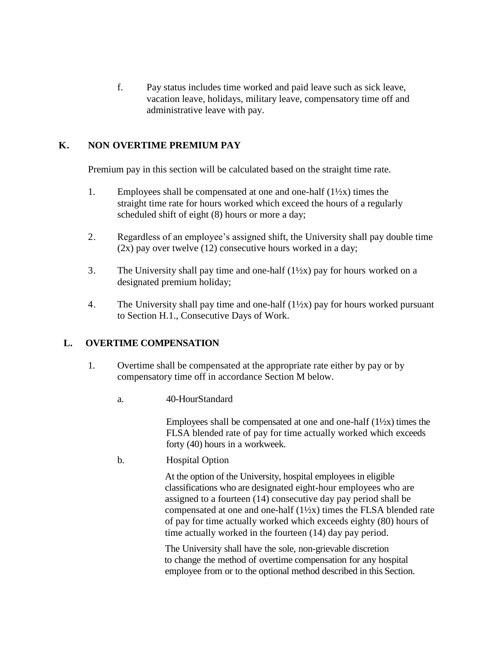f. Pay status includes time worked and paid leave such as sick leave, vacation leave, holidays, military leave, compensatory time off and administrative leave with pay.

# **K. NON OVERTIME PREMIUM PAY**

Premium pay in this section will be calculated based on the straight time rate.

- 1. Employees shall be compensated at one and one-half  $(1\frac{1}{2}x)$  times the straight time rate for hours worked which exceed the hours of a regularly scheduled shift of eight (8) hours or more a day;
- 2. Regardless of an employee's assigned shift, the University shall pay double time  $(2x)$  pay over twelve  $(12)$  consecutive hours worked in a day;
- 3. The University shall pay time and one-half  $(1\frac{1}{2}x)$  pay for hours worked on a designated premium holiday;
- 4. The University shall pay time and one-half  $(1\frac{1}{2}x)$  pay for hours worked pursuant to Section H.1., Consecutive Days of Work.

### **L. OVERTIME COMPENSATION**

- 1. Overtime shall be compensated at the appropriate rate either by pay or by compensatory time off in accordance Section M below.
	- a. 40-HourStandard

Employees shall be compensated at one and one-half  $(1\frac{1}{2}x)$  times the FLSA blended rate of pay for time actually worked which exceeds forty (40) hours in a workweek.

b. Hospital Option

At the option of the University, hospital employees in eligible classifications who are designated eight-hour employees who are assigned to a fourteen (14) consecutive day pay period shall be compensated at one and one-half (1½x) times the FLSA blended rate of pay for time actually worked which exceeds eighty (80) hours of time actually worked in the fourteen (14) day pay period.

The University shall have the sole, non-grievable discretion to change the method of overtime compensation for any hospital employee from or to the optional method described in this Section.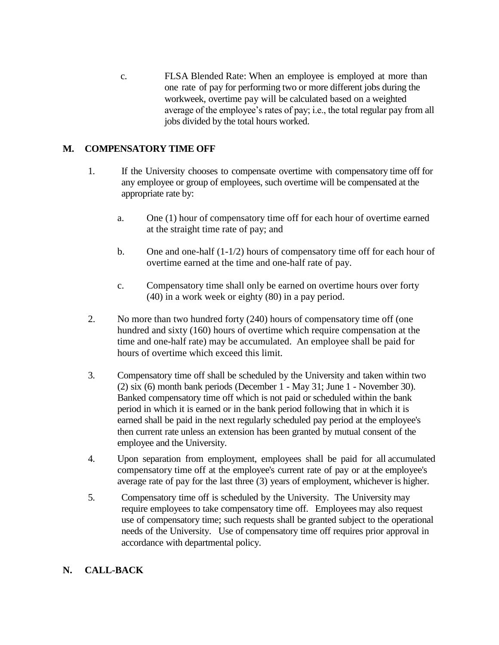c. FLSA Blended Rate: When an employee is employed at more than one rate of pay for performing two or more different jobs during the workweek, overtime pay will be calculated based on a weighted average of the employee's rates of pay; i.e., the total regular pay from all jobs divided by the total hours worked.

# **M. COMPENSATORY TIME OFF**

- 1. If the University chooses to compensate overtime with compensatory time off for any employee or group of employees, such overtime will be compensated at the appropriate rate by:
	- a. One (1) hour of compensatory time off for each hour of overtime earned at the straight time rate of pay; and
	- b. One and one-half  $(1-1/2)$  hours of compensatory time off for each hour of overtime earned at the time and one-half rate of pay.
	- c. Compensatory time shall only be earned on overtime hours over forty (40) in a work week or eighty (80) in a pay period.
- 2. No more than two hundred forty (240) hours of compensatory time off (one hundred and sixty (160) hours of overtime which require compensation at the time and one-half rate) may be accumulated. An employee shall be paid for hours of overtime which exceed this limit.
- 3. Compensatory time off shall be scheduled by the University and taken within two (2) six (6) month bank periods (December 1 - May 31; June 1 - November 30). Banked compensatory time off which is not paid or scheduled within the bank period in which it is earned or in the bank period following that in which it is earned shall be paid in the next regularly scheduled pay period at the employee's then current rate unless an extension has been granted by mutual consent of the employee and the University.
- 4. Upon separation from employment, employees shall be paid for all accumulated compensatory time off at the employee's current rate of pay or at the employee's average rate of pay for the last three (3) years of employment, whichever is higher.
- 5. Compensatory time off is scheduled by the University. The University may require employees to take compensatory time off. Employees may also request use of compensatory time; such requests shall be granted subject to the operational needs of the University. Use of compensatory time off requires prior approval in accordance with departmental policy.

# **N. CALL-BACK**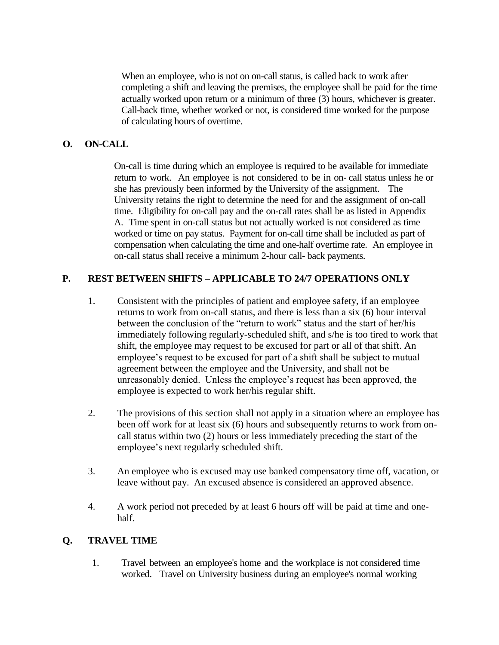When an employee, who is not on on-call status, is called back to work after completing a shift and leaving the premises, the employee shall be paid for the time actually worked upon return or a minimum of three (3) hours, whichever is greater. Call-back time, whether worked or not, is considered time worked for the purpose of calculating hours of overtime.

#### **O. ON-CALL**

On-call is time during which an employee is required to be available for immediate return to work. An employee is not considered to be in on- call status unless he or she has previously been informed by the University of the assignment. The University retains the right to determine the need for and the assignment of on-call time. Eligibility for on-call pay and the on-call rates shall be as listed in Appendix A. Time spent in on-call status but not actually worked is not considered as time worked or time on pay status. Payment for on-call time shall be included as part of compensation when calculating the time and one-half overtime rate. An employee in on-call status shall receive a minimum 2-hour call- back payments.

#### **P. REST BETWEEN SHIFTS – APPLICABLE TO 24/7 OPERATIONS ONLY**

- 1. Consistent with the principles of patient and employee safety, if an employee returns to work from on-call status, and there is less than a six (6) hour interval between the conclusion of the "return to work" status and the start of her/his immediately following regularly-scheduled shift, and s/he is too tired to work that shift, the employee may request to be excused for part or all of that shift. An employee's request to be excused for part of a shift shall be subject to mutual agreement between the employee and the University, and shall not be unreasonably denied. Unless the employee's request has been approved, the employee is expected to work her/his regular shift.
- 2. The provisions of this section shall not apply in a situation where an employee has been off work for at least six (6) hours and subsequently returns to work from oncall status within two (2) hours or less immediately preceding the start of the employee's next regularly scheduled shift.
- 3. An employee who is excused may use banked compensatory time off, vacation, or leave without pay. An excused absence is considered an approved absence.
- 4. A work period not preceded by at least 6 hours off will be paid at time and onehalf.

### **Q. TRAVEL TIME**

1. Travel between an employee's home and the workplace is not considered time worked. Travel on University business during an employee's normal working